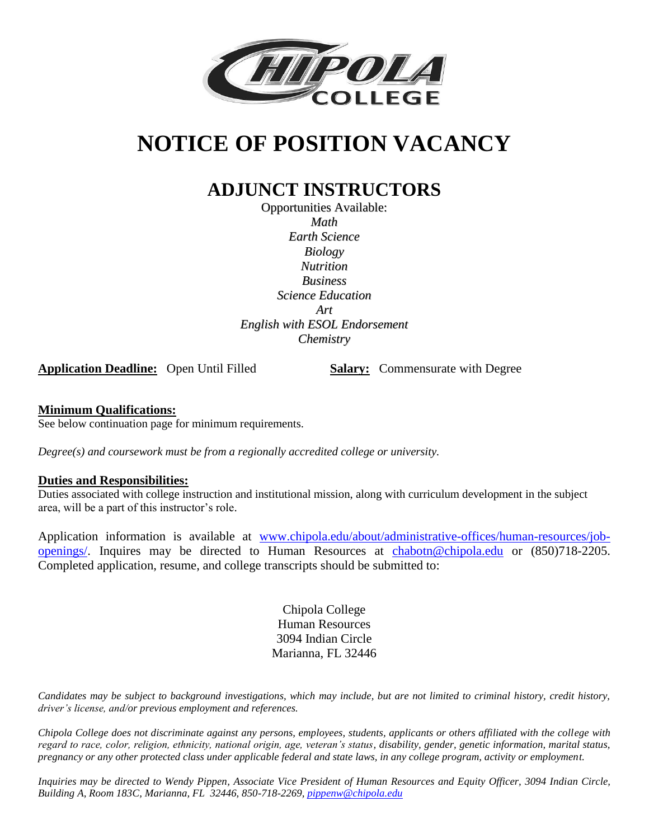

# **NOTICE OF POSITION VACANCY**

## **ADJUNCT INSTRUCTORS**

Opportunities Available: *Math Earth Science Biology Nutrition Business Science Education Art English with ESOL Endorsement Chemistry*

**Application Deadline:** Open Until Filled **Salary:** Commensurate with Degree

#### **Minimum Qualifications:**

See below continuation page for minimum requirements.

*Degree(s) and coursework must be from a regionally accredited college or university.*

#### **Duties and Responsibilities:**

Duties associated with college instruction and institutional mission, along with curriculum development in the subject area, will be a part of this instructor's role.

Application information is available at [www.chipola.edu/about/administrative-offices/human-resources/job](http://www.chipola.edu/about/administrative-offices/human-resources/job-openings/)[openings/.](http://www.chipola.edu/about/administrative-offices/human-resources/job-openings/) Inquires may be directed to Human Resources at [chabotn@chipola.edu](mailto:chabotn@chipola.edu) or (850)718-2205. Completed application, resume, and college transcripts should be submitted to:

> Chipola College Human Resources 3094 Indian Circle Marianna, FL 32446

*Candidates may be subject to background investigations, which may include, but are not limited to criminal history, credit history, driver's license, and/or previous employment and references.*

*Chipola College does not discriminate against any persons, employees, students, applicants or others affiliated with the college with regard to race, color, religion, ethnicity, national origin, age, veteran's status, disability, gender, genetic information, marital status, pregnancy or any other protected class under applicable federal and state laws, in any college program, activity or employment.*

*Inquiries may be directed to Wendy Pippen, Associate Vice President of Human Resources and Equity Officer, 3094 Indian Circle, Building A, Room 183C, Marianna, FL 32446, 850-718-2269, [pippenw@chipola.edu](mailto:pippenw@chipola.edu)*